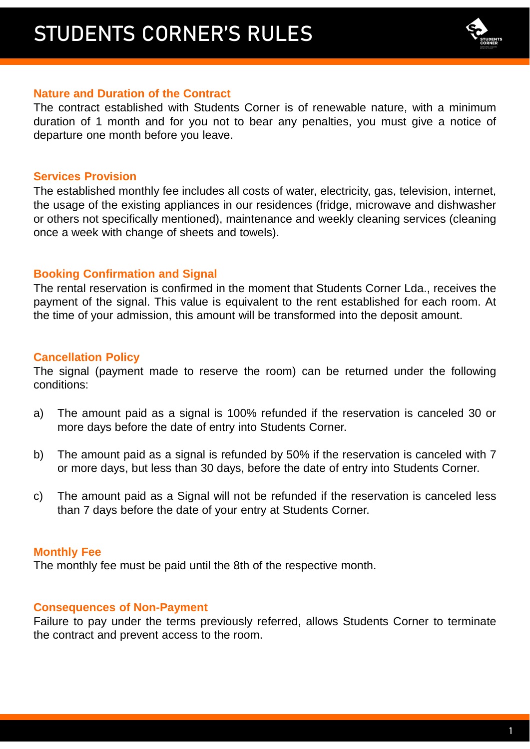# STUDENTS CORNER'S RULES



### **Nature and Duration of the Contract**

The contract established with Students Corner is of renewable nature, with a minimum duration of 1 month and for you not to bear any penalties, you must give a notice of departure one month before you leave.

#### **Services Provision**

The established monthly fee includes all costs of water, electricity, gas, television, internet, the usage of the existing appliances in our residences (fridge, microwave and dishwasher or others not specifically mentioned), maintenance and weekly cleaning services (cleaning once a week with change of sheets and towels).

#### **Booking Confirmation and Signal**

The rental reservation is confirmed in the moment that Students Corner Lda., receives the payment of the signal. This value is equivalent to the rent established for each room. At the time of your admission, this amount will be transformed into the deposit amount.

## **Cancellation Policy**

The signal (payment made to reserve the room) can be returned under the following conditions:

- a) The amount paid as a signal is 100% refunded if the reservation is canceled 30 or more days before the date of entry into Students Corner.
- b) The amount paid as a signal is refunded by 50% if the reservation is canceled with 7 or more days, but less than 30 days, before the date of entry into Students Corner.
- c) The amount paid as a Signal will not be refunded if the reservation is canceled less than 7 days before the date of your entry at Students Corner.

#### **Monthly Fee**

The monthly fee must be paid until the 8th of the respective month.

#### **Consequences of Non-Payment**

Failure to pay under the terms previously referred, allows Students Corner to terminate the contract and prevent access to the room.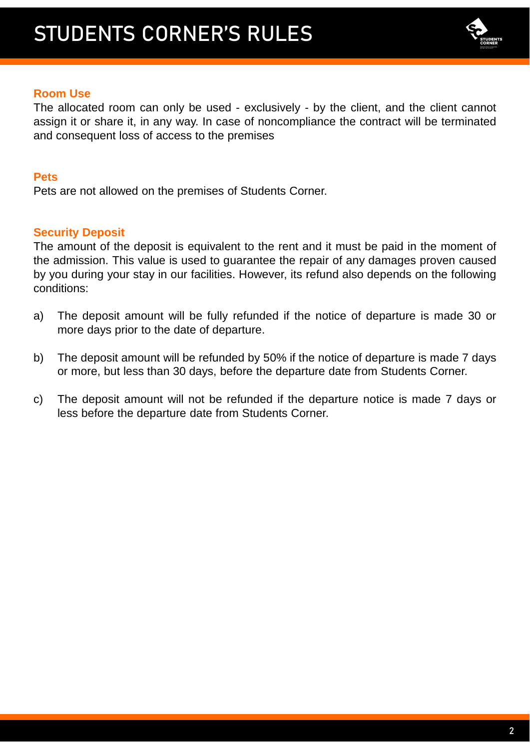

# **Room Use**

The allocated room can only be used - exclusively - by the client, and the client cannot assign it or share it, in any way. In case of noncompliance the contract will be terminated and consequent loss of access to the premises

## **Pets**

Pets are not allowed on the premises of Students Corner.

## **Security Deposit**

The amount of the deposit is equivalent to the rent and it must be paid in the moment of the admission. This value is used to guarantee the repair of any damages proven caused by you during your stay in our facilities. However, its refund also depends on the following conditions:

- a) The deposit amount will be fully refunded if the notice of departure is made 30 or more days prior to the date of departure.
- b) The deposit amount will be refunded by 50% if the notice of departure is made 7 days or more, but less than 30 days, before the departure date from Students Corner.
- c) The deposit amount will not be refunded if the departure notice is made 7 days or less before the departure date from Students Corner.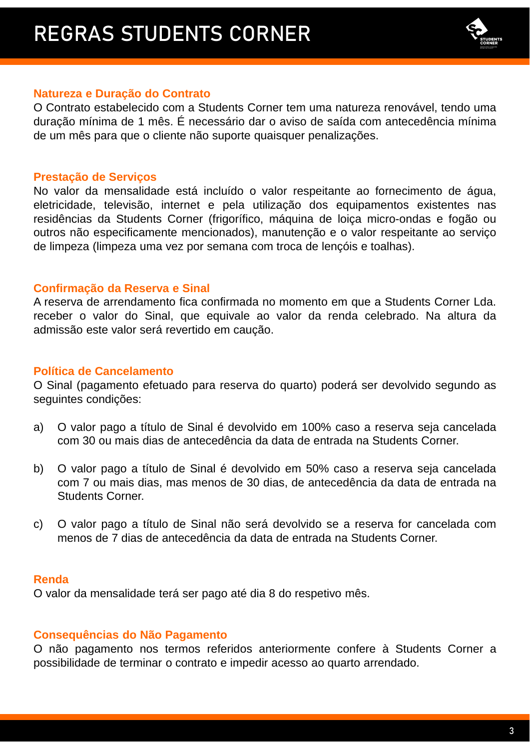

#### **Natureza e Duração do Contrato**

O Contrato estabelecido com a Students Corner tem uma natureza renovável, tendo uma duração mínima de 1 mês. É necessário dar o aviso de saída com antecedência mínima de um mês para que o cliente não suporte quaisquer penalizações.

#### **Prestação de Serviços**

No valor da mensalidade está incluído o valor respeitante ao fornecimento de água, eletricidade, televisão, internet e pela utilização dos equipamentos existentes nas residências da Students Corner (frigorífico, máquina de loiça micro-ondas e fogão ou outros não especificamente mencionados), manutenção e o valor respeitante ao serviço de limpeza (limpeza uma vez por semana com troca de lençóis e toalhas).

#### **Confirmação da Reserva e Sinal**

A reserva de arrendamento fica confirmada no momento em que a Students Corner Lda. receber o valor do Sinal, que equivale ao valor da renda celebrado. Na altura da admissão este valor será revertido em caução.

#### **Política de Cancelamento**

O Sinal (pagamento efetuado para reserva do quarto) poderá ser devolvido segundo as seguintes condições:

- a) O valor pago a título de Sinal é devolvido em 100% caso a reserva seja cancelada com 30 ou mais dias de antecedência da data de entrada na Students Corner.
- b) O valor pago a título de Sinal é devolvido em 50% caso a reserva seja cancelada com 7 ou mais dias, mas menos de 30 dias, de antecedência da data de entrada na Students Corner.
- c) O valor pago a título de Sinal não será devolvido se a reserva for cancelada com menos de 7 dias de antecedência da data de entrada na Students Corner.

#### **Renda**

O valor da mensalidade terá ser pago até dia 8 do respetivo mês.

#### **Consequências do Não Pagamento**

O não pagamento nos termos referidos anteriormente confere à Students Corner a possibilidade de terminar o contrato e impedir acesso ao quarto arrendado.